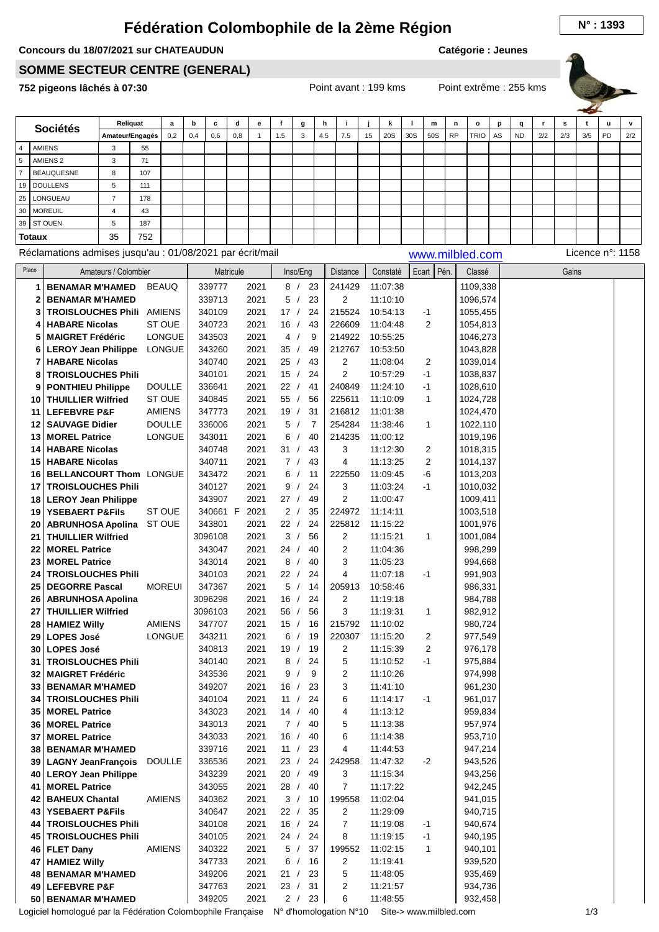## **Fédération Colombophile de la 2ème Région N° : <sup>1393</sup>**

## **Concours du 18/07/2021 sur CHATEAUDUN**

**Catégorie : Jeunes**

## **SOMME SECTEUR CENTRE (GENERAL)**

**752 pigeons lâchés à 07:30** Point avant : 199 kms Point extrême : 255 kms



| <b>Sociétés</b> |                                                            | Reliquat             |     | a             | b   | C                | d                | е            | f       | g                | h   | j              |    | k                    |     | m              | n         | $\mathbf{o}$       | p  | q         | r   | s     | t   | u                | v   |
|-----------------|------------------------------------------------------------|----------------------|-----|---------------|-----|------------------|------------------|--------------|---------|------------------|-----|----------------|----|----------------------|-----|----------------|-----------|--------------------|----|-----------|-----|-------|-----|------------------|-----|
|                 |                                                            | Amateur/Engagés      |     | 0,2           | 0,4 | 0,6              | 0,8              | $\mathbf{1}$ | 1.5     | 3                | 4.5 | 7.5            | 15 | 20S                  | 30S | 50S            | <b>RP</b> | TRIO               | AS | <b>ND</b> | 2/2 | 2/3   | 3/5 | PD               | 2/2 |
| $\overline{4}$  | <b>AMIENS</b>                                              | 3                    | 55  |               |     |                  |                  |              |         |                  |     |                |    |                      |     |                |           |                    |    |           |     |       |     |                  |     |
| $\sqrt{5}$      | AMIENS <sub>2</sub>                                        | 3                    | 71  |               |     |                  |                  |              |         |                  |     |                |    |                      |     |                |           |                    |    |           |     |       |     |                  |     |
| $\overline{7}$  | <b>BEAUQUESNE</b>                                          | 8                    | 107 |               |     |                  |                  |              |         |                  |     |                |    |                      |     |                |           |                    |    |           |     |       |     |                  |     |
| 19              | <b>DOULLENS</b>                                            | 5                    | 111 |               |     |                  |                  |              |         |                  |     |                |    |                      |     |                |           |                    |    |           |     |       |     |                  |     |
| 25              | LONGUEAU                                                   | $\overline{7}$       | 178 |               |     |                  |                  |              |         |                  |     |                |    |                      |     |                |           |                    |    |           |     |       |     |                  |     |
| 30              | <b>MOREUIL</b>                                             | $\overline{4}$       | 43  |               |     |                  |                  |              |         |                  |     |                |    |                      |     |                |           |                    |    |           |     |       |     |                  |     |
| 39              | ST OUEN                                                    | 5                    | 187 |               |     |                  |                  |              |         |                  |     |                |    |                      |     |                |           |                    |    |           |     |       |     |                  |     |
| <b>Totaux</b>   |                                                            | 35                   | 752 |               |     |                  |                  |              |         |                  |     |                |    |                      |     |                |           |                    |    |           |     |       |     |                  |     |
|                 | Réclamations admises jusqu'au : 01/08/2021 par écrit/mail  |                      |     |               |     |                  |                  |              |         |                  |     |                |    |                      |     |                |           | www.milbled.com    |    |           |     |       |     | Licence n°: 1158 |     |
| Place           |                                                            | Amateurs / Colombier |     |               |     |                  | <b>Matricule</b> |              |         | Insc/Eng         |     | Distance       |    | Constaté             |     | Ecart Pén.     |           | Classé             |    |           |     | Gains |     |                  |     |
|                 | <b>BENAMAR M'HAMED</b><br>1                                |                      |     | <b>BEAUQ</b>  |     | 339777           |                  | 2021         |         | 8/<br>23         |     | 241429         |    | 11:07:38             |     |                |           | 1109,338           |    |           |     |       |     |                  |     |
|                 | 2<br><b>BENAMAR M'HAMED</b>                                |                      |     |               |     | 339713           |                  | 2021         |         | 23<br>5/         |     | 2              |    | 11:10:10             |     |                |           | 1096,574           |    |           |     |       |     |                  |     |
|                 | <b>TROISLOUCHES Phili</b><br>3                             |                      |     | AMIENS        |     | 340109           |                  | 2021         | 17/     | 24               |     | 215524         |    | 10:54:13             |     | $-1$           |           | 1055,455           |    |           |     |       |     |                  |     |
|                 | <b>HABARE Nicolas</b><br>4                                 |                      |     | ST OUE        |     | 340723           |                  | 2021         | 16/     | 43               |     | 226609         |    | 11:04:48             |     | 2              |           | 1054,813           |    |           |     |       |     |                  |     |
|                 | 5<br><b>MAIGRET Frédéric</b>                               |                      |     | <b>LONGUE</b> |     | 343503           |                  | 2021         | 4/      | 9                |     | 214922         |    | 10:55:25             |     |                |           | 1046,273           |    |           |     |       |     |                  |     |
|                 | <b>LEROY Jean Philippe</b><br>6                            |                      |     | <b>LONGUE</b> |     | 343260           |                  | 2021         | 35/     | 49               |     | 212767         |    | 10:53:50             |     |                |           | 1043,828           |    |           |     |       |     |                  |     |
|                 | <b>HABARE Nicolas</b><br>7                                 |                      |     |               |     | 340740           |                  | 2021         | 25/     | 43               |     | 2              |    | 11:08:04             |     | $\overline{2}$ |           | 1039,014           |    |           |     |       |     |                  |     |
|                 | <b>TROISLOUCHES Phili</b><br>8                             |                      |     |               |     | 340101           |                  | 2021         | 15/     | 24               |     | 2              |    | 10:57:29             |     | $-1$           |           | 1038,837           |    |           |     |       |     |                  |     |
|                 | <b>PONTHIEU Philippe</b><br>9                              |                      |     | <b>DOULLE</b> |     | 336641           |                  | 2021         | 22/     | 41               |     | 240849         |    | 11:24:10             |     | $-1$           |           | 1028,610           |    |           |     |       |     |                  |     |
|                 | <b>THUILLIER Wilfried</b><br>10                            |                      |     | ST OUE        |     | 340845           |                  | 2021         | 55/     | 56               |     | 225611         |    | 11:10:09             |     | 1              |           | 1024,728           |    |           |     |       |     |                  |     |
|                 | <b>LEFEBVRE P&amp;F</b><br>11                              |                      |     | <b>AMIENS</b> |     | 347773           |                  | 2021         | 19/     | 31               |     | 216812         |    | 11:01:38             |     |                |           | 1024,470           |    |           |     |       |     |                  |     |
|                 | <b>SAUVAGE Didier</b><br>12                                |                      |     | <b>DOULLE</b> |     | 336006           |                  | 2021         | 5/      | $\overline{7}$   |     | 254284         |    | 11:38:46             |     | 1              |           | 1022,110           |    |           |     |       |     |                  |     |
|                 | 13<br><b>MOREL Patrice</b>                                 |                      |     | <b>LONGUE</b> |     | 343011           |                  | 2021         | 6       |                  | 40  | 214235         |    | 11:00:12             |     |                |           | 1019,196           |    |           |     |       |     |                  |     |
|                 | <b>HABARE Nicolas</b><br>14                                |                      |     |               |     | 340748           |                  | 2021         | 31 /    | 43               |     | 3              |    | 11:12:30             |     | 2              |           | 1018,315           |    |           |     |       |     |                  |     |
|                 | <b>HABARE Nicolas</b><br>15                                |                      |     |               |     | 340711           |                  | 2021         | 7/      |                  | 43  | 4              |    | 11:13:25             |     | 2              |           | 1014,137           |    |           |     |       |     |                  |     |
|                 | BELLANCOURT Thom LONGUE<br>16                              |                      |     |               |     | 343472           |                  | 2021         | 6       | 11<br>$\sqrt{ }$ |     | 222550         |    | 11:09:45             |     | -6             |           | 1013,203           |    |           |     |       |     |                  |     |
|                 | <b>TROISLOUCHES Phili</b><br>17                            |                      |     |               |     | 340127           |                  | 2021         | 9       | $\prime$         | 24  | 3              |    | 11:03:24             |     | -1             |           | 1010,032           |    |           |     |       |     |                  |     |
|                 | 18<br><b>LEROY Jean Philippe</b>                           |                      |     |               |     | 343907           |                  | 2021         | 27/     |                  | 49  | 2              |    | 11:00:47             |     |                |           | 1009,411           |    |           |     |       |     |                  |     |
|                 | <b>YSEBAERT P&amp;Fils</b><br>19                           |                      |     | ST OUE        |     | 340661 F         |                  | 2021         | 2/      | 35               |     | 224972         |    | 11:14:11             |     |                |           | 1003,518           |    |           |     |       |     |                  |     |
|                 | <b>ABRUNHOSA Apolina</b><br>20                             |                      |     | ST OUE        |     | 343801           |                  | 2021         | 22 /    |                  | 24  | 225812         |    | 11:15:22             |     |                |           | 1001,976           |    |           |     |       |     |                  |     |
|                 | <b>THUILLIER Wilfried</b><br>21                            |                      |     |               |     | 3096108          |                  | 2021         | 3/      |                  | 56  | 2              |    | 11:15:21             |     | 1              |           | 1001,084           |    |           |     |       |     |                  |     |
|                 | <b>MOREL Patrice</b><br>22                                 |                      |     |               |     | 343047           |                  | 2021         | 24 /    |                  | 40  | 2              |    | 11:04:36             |     |                |           | 998,299            |    |           |     |       |     |                  |     |
|                 | 23<br><b>MOREL Patrice</b>                                 |                      |     |               |     | 343014           |                  | 2021         | 8/      |                  | 40  | 3              |    | 11:05:23             |     |                |           | 994,668            |    |           |     |       |     |                  |     |
|                 | <b>TROISLOUCHES Phili</b><br>24                            |                      |     |               |     | 340103           |                  | 2021         | 22 /    |                  | 24  | 4              |    | 11:07:18             |     | -1             |           | 991,903            |    |           |     |       |     |                  |     |
|                 | 25<br><b>DEGORRE Pascal</b>                                |                      |     | <b>MOREUI</b> |     | 347367           |                  | 2021         | 5/      |                  | 14  | 205913         |    | 10:58:46             |     |                |           | 986,331            |    |           |     |       |     |                  |     |
|                 | <b>ABRUNHOSA Apolina</b><br>26                             |                      |     |               |     | 3096298          |                  | 2021         | 16/     | 24               |     | 2              |    | 11:19:18             |     |                |           | 984,788            |    |           |     |       |     |                  |     |
|                 | 27 THUILLIER Wilfried                                      |                      |     |               |     | 3096103          |                  | 2021         | 56 /    |                  | 56  | 3              |    | 11:19:31             |     | 1              |           | 982,912            |    |           |     |       |     |                  |     |
|                 | <b>HAMIEZ Willy</b><br>28                                  |                      |     | AMIENS        |     | 347707           |                  | 2021         |         | 15 / 16          |     | 215792         |    | 11:10:02             |     |                |           | 980,724            |    |           |     |       |     |                  |     |
|                 | <b>LOPES José</b><br>29                                    |                      |     | LONGUE        |     | 343211           |                  | 2021         | 6/      | 19               |     | 220307         |    | 11:15:20             |     | 2              |           | 977,549            |    |           |     |       |     |                  |     |
|                 | <b>LOPES José</b><br>30                                    |                      |     |               |     | 340813           |                  | 2021         | 19/     | 19<br>24         |     | 2<br>5         |    | 11:15:39             |     | 2<br>$-1$      |           | 976,178            |    |           |     |       |     |                  |     |
|                 | <b>TROISLOUCHES Phili</b><br>31<br><b>MAIGRET Frédéric</b> |                      |     |               |     | 340140<br>343536 |                  | 2021<br>2021 | 8/<br>9 | 9<br>$\sqrt{ }$  |     | 2              |    | 11:10:52<br>11:10:26 |     |                |           | 975,884<br>974,998 |    |           |     |       |     |                  |     |
|                 | 32<br>33 BENAMAR M'HAMED                                   |                      |     |               |     | 349207           |                  | 2021         | 16/     | 23               |     | 3              |    | 11:41:10             |     |                |           | 961,230            |    |           |     |       |     |                  |     |
|                 | <b>TROISLOUCHES Phili</b><br>34                            |                      |     |               |     | 340104           |                  | 2021         | 11 /    | 24               |     | 6              |    | 11:14:17             |     | $-1$           |           | 961,017            |    |           |     |       |     |                  |     |
|                 | 35<br><b>MOREL Patrice</b>                                 |                      |     |               |     | 343023           |                  | 2021         | 14/     | 40               |     | 4              |    | 11:13:12             |     |                |           | 959,834            |    |           |     |       |     |                  |     |
|                 | <b>MOREL Patrice</b><br>36                                 |                      |     |               |     | 343013           |                  | 2021         |         | 7/<br>40         |     | 5              |    | 11:13:38             |     |                |           | 957,974            |    |           |     |       |     |                  |     |
|                 | <b>MOREL Patrice</b><br>37                                 |                      |     |               |     | 343033           |                  | 2021         | 16/     | 40               |     | 6              |    | 11:14:38             |     |                |           | 953,710            |    |           |     |       |     |                  |     |
|                 | <b>BENAMAR M'HAMED</b><br>38                               |                      |     |               |     | 339716           |                  | 2021         | 11 /    | 23               |     | 4              |    | 11:44:53             |     |                |           | 947,214            |    |           |     |       |     |                  |     |
|                 | 39<br><b>LAGNY JeanFrançois</b>                            |                      |     | <b>DOULLE</b> |     | 336536           |                  | 2021         | 23 /    | 24               |     | 242958         |    | 11:47:32             |     | $-2$           |           | 943,526            |    |           |     |       |     |                  |     |
|                 | 40   LEROY Jean Philippe                                   |                      |     |               |     | 343239           |                  | 2021         | 20/     | 49               |     | 3              |    | 11:15:34             |     |                |           | 943,256            |    |           |     |       |     |                  |     |
|                 | <b>MOREL Patrice</b><br>41                                 |                      |     |               |     | 343055           |                  | 2021         |         | 28 / 40          |     | $\overline{7}$ |    | 11:17:22             |     |                |           | 942,245            |    |           |     |       |     |                  |     |
|                 | <b>BAHEUX Chantal</b><br>42                                |                      |     | AMIENS        |     | 340362           |                  | 2021         | 3 /     | - 10             |     | 199558         |    | 11:02:04             |     |                |           | 941,015            |    |           |     |       |     |                  |     |
|                 | <b>YSEBAERT P&amp;Fils</b><br>43                           |                      |     |               |     | 340647           |                  | 2021         | 22/     | 35               |     | 2              |    | 11:29:09             |     |                |           | 940,715            |    |           |     |       |     |                  |     |
|                 | <b>TROISLOUCHES Phili</b><br>44                            |                      |     |               |     | 340108           |                  | 2021         | 16/     | 24               |     | $\overline{7}$ |    | 11:19:08             |     | -1             |           | 940,674            |    |           |     |       |     |                  |     |
|                 | <b>TROISLOUCHES Phili</b><br>45                            |                      |     |               |     | 340105           |                  | 2021         | 24/     | 24               |     | 8              |    | 11:19:15             |     | $-1$           |           | 940,195            |    |           |     |       |     |                  |     |
|                 | <b>FLET Dany</b><br>46                                     |                      |     | <b>AMIENS</b> |     | 340322           |                  | 2021         |         | 37<br>5/         |     | 199552         |    | 11:02:15             |     | $\mathbf{1}$   |           | 940,101            |    |           |     |       |     |                  |     |
|                 | 47<br><b>HAMIEZ Willy</b>                                  |                      |     |               |     | 347733           |                  | 2021         |         | 6/<br>16         |     | 2              |    | 11:19:41             |     |                |           | 939,520            |    |           |     |       |     |                  |     |
|                 | 48 BENAMAR M'HAMED                                         |                      |     |               |     | 349206           |                  | 2021         | 21/     | 23               |     | 5              |    | 11:48:05             |     |                |           | 935,469            |    |           |     |       |     |                  |     |
|                 | 49 LEFEBVRE P&F                                            |                      |     |               |     | 347763           |                  | 2021         |         | 23 / 31          |     | $\overline{2}$ |    | 11:21:57             |     |                |           | 934,736            |    |           |     |       |     |                  |     |

 $349205$ 

2021

2 / 23

6

**BENAMAR M'HAMED 50**

 $\mathbb{R}$ 

 $932,458$ 

11:48:55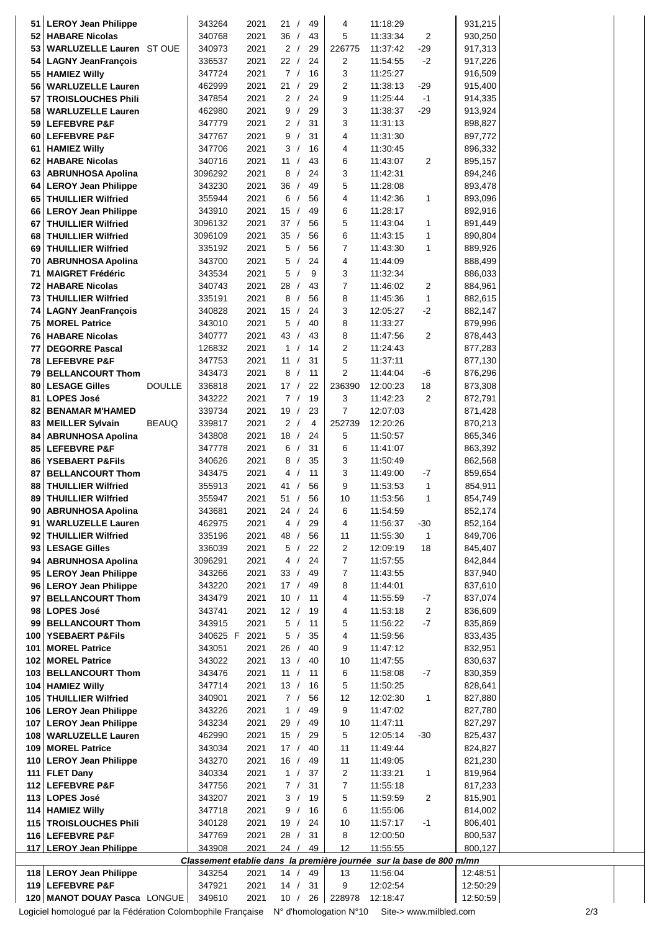| 51  | <b>LEROY Jean Philippe</b>                         |               | 343264                                                              | 2021         | 21 /             | 49               | 4              | 11:18:29             |                | 931,215              |  |
|-----|----------------------------------------------------|---------------|---------------------------------------------------------------------|--------------|------------------|------------------|----------------|----------------------|----------------|----------------------|--|
| 52  | <b>HABARE Nicolas</b>                              |               | 340768                                                              | 2021         | 36/              | 43               | 5              | 11:33:34             | 2              | 930,250              |  |
| 53  | WARLUZELLE Lauren ST OUE                           |               | 340973                                                              | 2021         | 2 /              | 29               | 226775         | 11:37:42             | $-29$          | 917,313              |  |
| 54  | <b>LAGNY JeanFrançois</b>                          |               | 336537                                                              | 2021         | 22/              | 24               | 2              | 11:54:55             | $-2$           | 917,226              |  |
| 55  | <b>HAMIEZ Willy</b>                                |               | 347724                                                              | 2021         | 7/               | 16               | 3              | 11:25:27             |                | 916,509              |  |
| 56  | <b>WARLUZELLE Lauren</b>                           |               | 462999                                                              | 2021         | 21               | 29<br>$\prime$   | 2              | 11:38:13             | $-29$          | 915,400              |  |
| 57  | <b>TROISLOUCHES Phili</b>                          |               | 347854                                                              | 2021         | 2/               | 24               | 9              | 11:25:44             | $-1$           | 914,335              |  |
| 58  | <b>WARLUZELLE Lauren</b>                           |               | 462980                                                              | 2021         | 9/               | 29               | 3              | 11:38:37             | $-29$          | 913,924              |  |
| 59  | <b>LEFEBVRE P&amp;F</b>                            |               | 347779                                                              | 2021         | 2/               | 31               | 3              | 11:31:13             |                | 898,827              |  |
| 60  | <b>LEFEBVRE P&amp;F</b>                            |               | 347767                                                              | 2021         | 9/               | 31               | 4              | 11:31:30             |                | 897,772              |  |
| 61  | <b>HAMIEZ Willy</b>                                |               | 347706                                                              | 2021         | 3/               | 16               | 4              | 11:30:45             |                | 896,332              |  |
| 62  | <b>HABARE Nicolas</b>                              |               | 340716                                                              | 2021         | 11 /             | 43               | 6              | 11:43:07             | $\overline{c}$ | 895,157              |  |
| 63  | <b>ABRUNHOSA Apolina</b>                           |               | 3096292                                                             | 2021         | 8/               | 24               | 3              | 11:42:31             |                | 894,246              |  |
| 64  | <b>LEROY Jean Philippe</b>                         |               | 343230                                                              | 2021         | 36/              | 49               | 5              | 11:28:08             |                | 893,478              |  |
| 65  | <b>THUILLIER Wilfried</b>                          |               | 355944                                                              | 2021         | 6                | 56<br>$\sqrt{ }$ | 4              | 11:42:36             | 1              | 893,096              |  |
| 66  | <b>LEROY Jean Philippe</b>                         |               | 343910                                                              | 2021         | 15<br>$\sqrt{ }$ | 49               | 6              | 11:28:17             |                | 892,916              |  |
| 67  | <b>THUILLIER Wilfried</b>                          |               | 3096132                                                             | 2021         | 37/              | 56               | 5              | 11:43:04             | $\mathbf{1}$   | 891,449              |  |
| 68  | <b>THUILLIER Wilfried</b>                          |               | 3096109                                                             | 2021         | 35/              | 56               | 6              | 11:43:15             | 1              | 890,804              |  |
| 69  | <b>THUILLIER Wilfried</b>                          |               | 335192                                                              | 2021         | 5/               | 56               | 7              | 11:43:30             | $\mathbf{1}$   | 889,926              |  |
| 70  | <b>ABRUNHOSA Apolina</b>                           |               | 343700                                                              | 2021         | 5/               | 24               | 4              | 11:44:09             |                | 888,499              |  |
| 71  | <b>MAIGRET Frédéric</b>                            |               |                                                                     | 2021         | 5/               | 9                |                |                      |                |                      |  |
|     |                                                    |               | 343534                                                              |              |                  |                  | 3              | 11:32:34             |                | 886,033              |  |
| 72  | <b>HABARE Nicolas</b>                              |               | 340743                                                              | 2021         | 28/              | 43               | 7              | 11:46:02             | $\overline{c}$ | 884,961              |  |
| 73  | <b>THUILLIER Wilfried</b>                          |               | 335191                                                              | 2021         | 8                | 56<br>$\sqrt{2}$ | 8              | 11:45:36             | $\mathbf{1}$   | 882,615              |  |
| 74  | <b>LAGNY JeanFrançois</b>                          |               | 340828                                                              | 2021         | 15<br>$\sqrt{ }$ | 24               | 3              | 12:05:27             | $-2$           | 882,147              |  |
| 75  | <b>MOREL Patrice</b>                               |               | 343010                                                              | 2021         | 5                | 40               | 8              | 11:33:27             |                | 879,996              |  |
| 76  | <b>HABARE Nicolas</b>                              |               | 340777                                                              | 2021         | 43 /             | 43               | 8              | 11:47:56             | $\overline{2}$ | 878,443              |  |
| 77  | <b>DEGORRE Pascal</b>                              |               | 126832                                                              | 2021         | 1/               | 14               | 2              | 11:24:43             |                | 877,283              |  |
| 78  | <b>LEFEBVRE P&amp;F</b>                            |               | 347753                                                              | 2021         | 11 /             | 31               | 5              | 11:37:11             |                | 877,130              |  |
| 79  | <b>BELLANCOURT Thom</b>                            |               | 343473                                                              | 2021         | 8/               | 11               | 2              | 11:44:04             | -6             | 876,296              |  |
| 80  | <b>LESAGE Gilles</b>                               | <b>DOULLE</b> | 336818                                                              | 2021         | 17/              | 22               | 236390         | 12:00:23             | 18             | 873,308              |  |
| 81  | <b>LOPES José</b>                                  |               | 343222                                                              | 2021         | 7/               | 19               | 3              | 11:42:23             | $\overline{2}$ | 872,791              |  |
| 82  | <b>BENAMAR M'HAMED</b>                             |               | 339734                                                              | 2021         | 19/              | 23               | $\overline{7}$ | 12:07:03             |                | 871,428              |  |
| 83  | <b>MEILLER Sylvain</b>                             | <b>BEAUQ</b>  | 339817                                                              | 2021         | 2/               | $\overline{4}$   | 252739         | 12:20:26             |                | 870,213              |  |
| 84  | <b>ABRUNHOSA Apolina</b>                           |               | 343808                                                              | 2021         | 18/              | 24               | 5              | 11:50:57             |                | 865,346              |  |
| 85  | <b>LEFEBVRE P&amp;F</b>                            |               | 347778                                                              | 2021         | 6/               | 31               | 6              | 11:41:07             |                | 863,392              |  |
| 86  | <b>YSEBAERT P&amp;Fils</b>                         |               | 340626                                                              | 2021         | 8/               | 35               | 3              | 11:50:49             |                | 862,568              |  |
| 87  | <b>BELLANCOURT Thom</b>                            |               | 343475                                                              | 2021         | 4/               | 11               | 3              | 11:49:00             | -7             | 859,654              |  |
| 88  | <b>THUILLIER Wilfried</b>                          |               | 355913                                                              | 2021         | 41 /             | 56               | 9              | 11:53:53             | $\mathbf{1}$   | 854,911              |  |
| 89  | <b>THUILLIER Wilfried</b>                          |               | 355947                                                              | 2021         | 51 /             | 56               | 10             | 11:53:56             | $\mathbf{1}$   | 854,749              |  |
| 90  | <b>ABRUNHOSA Apolina</b>                           |               | 343681                                                              | 2021         | 24/              | 24               | 6              | 11:54:59             |                | 852,174              |  |
| 91  | <b>WARLUZELLE Lauren</b>                           |               | 462975                                                              | 2021         | 4                | 29               | 4              | 11:56:37             | $-30$          | 852,164              |  |
| 92  | <b>THUILLIER Wilfried</b>                          |               | 335196                                                              | 2021         | 48 /             | 56               | 11             | 11:55:30             | $\mathbf{1}$   | 849,706              |  |
| 93  | <b>LESAGE Gilles</b>                               |               | 336039                                                              | 2021         | 5/               | 22               | 2              | 12:09:19             | 18             | 845,407              |  |
|     |                                                    |               |                                                                     | 2021         | 4<br>$\sqrt{ }$  | 24               | 7              |                      |                | 842,844              |  |
| 94  | <b>ABRUNHOSA Apolina</b>                           |               | 3096291                                                             |              |                  |                  |                | 11:57:55             |                |                      |  |
| 95  | <b>LEROY Jean Philippe</b>                         |               | 343266                                                              | 2021         | 33/              | 49               | 7              | 11:43:55             |                | 837,940              |  |
| 96  | <b>LEROY Jean Philippe</b>                         |               | 343220                                                              | 2021         | 17/              | 49               | 8              | 11:44:01             |                | 837,610              |  |
| 97  | <b>BELLANCOURT Thom</b>                            |               | 343479                                                              | 2021         | 10/              | 11               | 4              | 11:55:59             | -7             | 837,074              |  |
| 98  | <b>LOPES José</b>                                  |               | 343741                                                              | 2021         | 12/              | 19               | 4              | 11:53:18             | $\overline{2}$ | 836,609              |  |
| 99  | <b>BELLANCOURT Thom</b>                            |               | 343915                                                              | 2021         | 5/               | 11               | 5              | 11:56:22             | $-7$           | 835,869              |  |
| 100 | <b>YSEBAERT P&amp;Fils</b>                         |               | 340625 F                                                            | 2021         | 5                | 35               | 4              | 11:59:56             |                | 833,435              |  |
| 101 | <b>MOREL Patrice</b>                               |               | 343051                                                              | 2021         | 26               | 40<br>$\sqrt{ }$ | 9              | 11:47:12             |                | 832,951              |  |
| 102 | <b>MOREL Patrice</b>                               |               | 343022                                                              | 2021         | 13/              | 40               | 10             | 11:47:55             |                | 830,637              |  |
| 103 | <b>BELLANCOURT Thom</b>                            |               | 343476                                                              | 2021         | 11               | 11<br>$\prime$   | 6              | 11:58:08             | -7             | 830,359              |  |
| 104 | <b>HAMIEZ Willy</b>                                |               | 347714                                                              | 2021         | 13/              | 16               | 5              | 11:50:25             |                | 828,641              |  |
| 105 | <b>THUILLIER Wilfried</b>                          |               | 340901                                                              | 2021         | 7/               | 56               | 12             | 12:02:30             | $\mathbf{1}$   | 827,880              |  |
| 106 | <b>LEROY Jean Philippe</b>                         |               | 343226                                                              | 2021         | $\mathbf{1}$     | 49               | 9              | 11:47:02             |                | 827,780              |  |
| 107 | <b>LEROY Jean Philippe</b>                         |               | 343234                                                              | 2021         | 29/              | 49               | 10             | 11:47:11             |                | 827,297              |  |
| 108 | <b>WARLUZELLE Lauren</b>                           |               | 462990                                                              | 2021         | 15/              | 29               | 5              | 12:05:14             | -30            | 825,437              |  |
| 109 | <b>MOREL Patrice</b>                               |               | 343034                                                              | 2021         | 17/              | 40               | 11             | 11:49:44             |                | 824,827              |  |
| 110 | <b>LEROY Jean Philippe</b>                         |               | 343270                                                              | 2021         | 16/              | 49               | 11             | 11:49:05             |                | 821,230              |  |
| 111 | <b>FLET Dany</b>                                   |               | 340334                                                              | 2021         | 1/               | 37               | 2              | 11:33:21             | $\mathbf{1}$   | 819,964              |  |
|     | 112 LEFEBVRE P&F                                   |               | 347756                                                              | 2021         | 7/               | 31               | 7              | 11:55:18             |                | 817,233              |  |
| 113 | <b>LOPES José</b>                                  |               | 343207                                                              | 2021         | 3/               | 19               | 5              | 11:59:59             | $\overline{2}$ | 815,901              |  |
| 114 | <b>HAMIEZ Willy</b>                                |               | 347718                                                              | 2021         | 9/               | 16               | 6              | 11:55:06             |                | 814,002              |  |
| 115 | <b>TROISLOUCHES Phili</b>                          |               | 340128                                                              | 2021         | 19/              | 24               | 10             | 11:57:17             | -1             | 806,401              |  |
|     | 116 LEFEBVRE P&F                                   |               | 347769                                                              | 2021         | 28               | 31<br>$\sqrt{2}$ | 8              | 12:00:50             |                | 800,537              |  |
|     | 117 LEROY Jean Philippe                            |               | 343908                                                              | 2021         | 24 /             | 49               | 12             | 11:55:55             |                | 800,127              |  |
|     |                                                    |               | Classement etablie dans la première journée sur la base de 800 m/mn |              |                  |                  |                |                      |                |                      |  |
|     | <b>LEROY Jean Philippe</b>                         |               | 343254                                                              | 2021         | 14 /             | 49               | 13             | 11:56:04             |                | 12:48:51             |  |
|     |                                                    |               |                                                                     |              |                  |                  |                |                      |                |                      |  |
| 118 |                                                    |               |                                                                     |              |                  |                  |                |                      |                |                      |  |
|     | 119 LEFEBVRE P&F<br>120   MANOT DOUAY Pasca LONGUE |               | 347921<br>349610                                                    | 2021<br>2021 | 14/<br>10/       | 31<br>26         | 9<br>228978    | 12:02:54<br>12:18:47 |                | 12:50:29<br>12:50:59 |  |